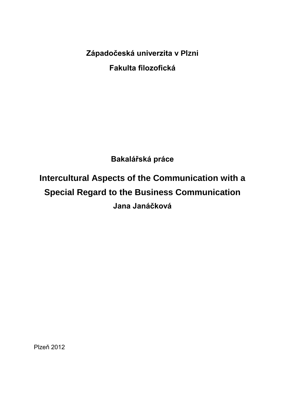**Západočeská univerzita v Plzni Fakulta filozofická**

**Bakalářská práce**

**Intercultural Aspects of the Communication with a Special Regard to the Business Communication Jana Janáčková**

Plzeň 2012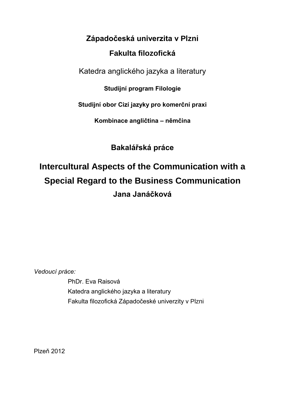# **Západočeská univerzita v Plzni Fakulta filozofická**

Katedra anglického jazyka a literatury

**Studijní program Filologie**

**Studijní obor Cizí jazyky pro komerční praxi**

**Kombinace angličtina – němčina**

**Bakalářská práce**

# **Intercultural Aspects of the Communication with a Special Regard to the Business Communication Jana Janáčková**

*Vedoucí práce:* 

PhDr. Eva Raisová Katedra anglického jazyka a literatury Fakulta filozofická Západočeské univerzity v Plzni

Plzeň 2012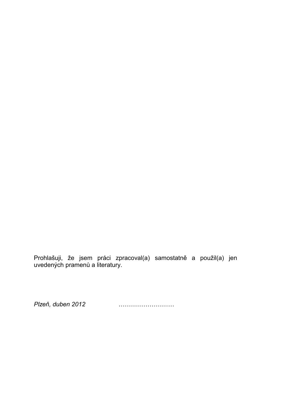Prohlašuji, že jsem práci zpracoval(a) samostatně a použil(a) jen uvedených pramenů a literatury.

*Plzeň, duben 2012* ………………………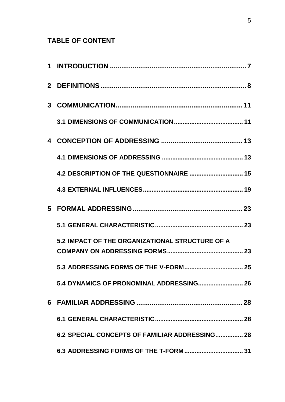# **TABLE OF CONTENT**

|   | 4.2 DESCRIPTION OF THE QUESTIONNAIRE  15        |  |
|---|-------------------------------------------------|--|
|   |                                                 |  |
| 5 |                                                 |  |
|   |                                                 |  |
|   | 5.2 IMPACT OF THE ORGANIZATIONAL STRUCTURE OF A |  |
|   | 5.3 ADDRESSING FORMS OF THE V-FORM 25           |  |
|   |                                                 |  |
|   |                                                 |  |
|   |                                                 |  |
|   | 6.2 SPECIAL CONCEPTS OF FAMILIAR ADDRESSING 28  |  |
|   |                                                 |  |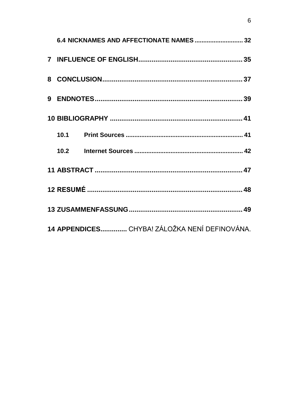|                                               | 6.4 NICKNAMES AND AFFECTIONATE NAMES  32 |  |  |
|-----------------------------------------------|------------------------------------------|--|--|
|                                               |                                          |  |  |
|                                               |                                          |  |  |
|                                               |                                          |  |  |
|                                               |                                          |  |  |
|                                               |                                          |  |  |
|                                               |                                          |  |  |
|                                               |                                          |  |  |
|                                               |                                          |  |  |
|                                               |                                          |  |  |
| 14 APPENDICES CHYBA! ZÁLOŽKA NENÍ DEFINOVÁNA. |                                          |  |  |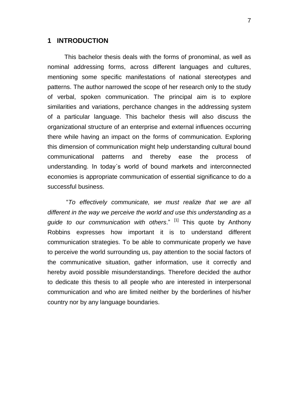#### <span id="page-6-0"></span>**1 INTRODUCTION**

This bachelor thesis deals with the forms of pronominal, as well as nominal addressing forms, across different languages and cultures, mentioning some specific manifestations of national stereotypes and patterns. The author narrowed the scope of her research only to the study of verbal, spoken communication. The principal aim is to explore similarities and variations, perchance changes in the addressing system of a particular language. This bachelor thesis will also discuss the organizational structure of an enterprise and external influences occurring there while having an impact on the forms of communication. Exploring this dimension of communication might help understanding cultural bound communicational patterns and thereby ease the process of understanding. In today´s world of bound markets and interconnected economies is appropriate communication of essential significance to do a successful business.

"*To effectively communicate, we must realize that we are all different in the way we perceive the world and use this understanding as a guide to our communication with others*." [1] This quote by Anthony Robbins expresses how important it is to understand different communication strategies. To be able to communicate properly we have to perceive the world surrounding us, pay attention to the social factors of the communicative situation, gather information, use it correctly and hereby avoid possible misunderstandings. Therefore decided the author to dedicate this thesis to all people who are interested in interpersonal communication and who are limited neither by the borderlines of his/her country nor by any language boundaries.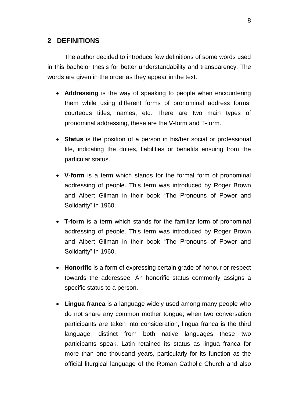## <span id="page-7-0"></span>**2 DEFINITIONS**

The author decided to introduce few definitions of some words used in this bachelor thesis for better understandability and transparency. The words are given in the order as they appear in the text.

- **Addressing** is the way of speaking to people when encountering them while using different forms of pronominal address forms, courteous titles, names, etc. There are two main types of pronominal addressing, these are the V-form and T-form.
- **Status** is the position of a person in his/her social or professional life, indicating the duties, liabilities or benefits ensuing from the particular status.
- **V-form** is a term which stands for the formal form of pronominal addressing of people. This term was introduced by Roger Brown and Albert Gilman in their book "The Pronouns of Power and Solidarity" in 1960.
- **T-form** is a term which stands for the familiar form of pronominal addressing of people. This term was introduced by Roger Brown and Albert Gilman in their book "The Pronouns of Power and Solidarity" in 1960.
- **Honorific** is a form of expressing certain grade of honour or respect towards the addressee. An honorific status commonly assigns a specific status to a person.
- **Lingua franca** is a language widely used among many people who do not share any common mother tongue; when two conversation participants are taken into consideration, lingua franca is the third language, distinct from both native languages these two participants speak. Latin retained its status as lingua franca for more than one thousand years, particularly for its function as the official liturgical language of the Roman Catholic Church and also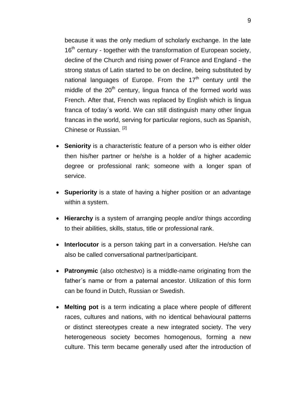because it was the only medium of scholarly exchange. In the late 16<sup>th</sup> century - together with the transformation of European society, decline of the Church and rising power of France and England - the strong status of Latin started to be on decline, being substituted by national languages of Europe. From the  $17<sup>th</sup>$  century until the middle of the 20<sup>th</sup> century, lingua franca of the formed world was French. After that, French was replaced by English which is lingua franca of today´s world. We can still distinguish many other lingua francas in the world, serving for particular regions, such as Spanish, Chinese or Russian. [2]

- **Seniority** is a characteristic feature of a person who is either older then his/her partner or he/she is a holder of a higher academic degree or professional rank; someone with a longer span of service.
- **Superiority** is a state of having a higher position or an advantage within a system.
- **Hierarchy** is a system of arranging people and/or things according to their abilities, skills, status, title or professional rank.
- **Interlocutor** is a person taking part in a conversation. He/she can also be called conversational partner/participant.
- **Patronymic** (also otchestvo) is a middle-name originating from the father´s name or from a paternal ancestor. Utilization of this form can be found in Dutch, Russian or Swedish.
- **Melting pot** is a term indicating a place where people of different races, cultures and nations, with no identical behavioural patterns or distinct stereotypes create a new integrated society. The very heterogeneous society becomes homogenous, forming a new culture. This term became generally used after the introduction of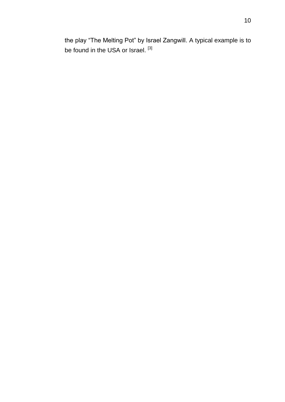the play "The Melting Pot" by Israel Zangwill. A typical example is to be found in the USA or Israel. [3]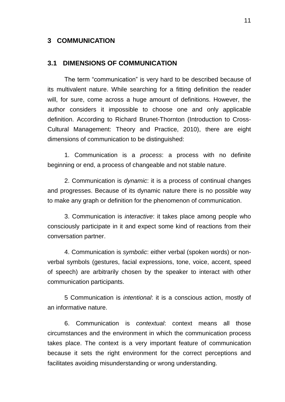### <span id="page-10-0"></span>**3 COMMUNICATION**

#### <span id="page-10-1"></span>**3.1 DIMENSIONS OF COMMUNICATION**

The term "communication" is very hard to be described because of its multivalent nature. While searching for a fitting definition the reader will, for sure, come across a huge amount of definitions. However, the author considers it impossible to choose one and only applicable definition. According to Richard Brunet-Thornton (Introduction to Cross-Cultural Management: Theory and Practice, 2010), there are eight dimensions of communication to be distinguished:

1. Communication is a *process*: a process with no definite beginning or end, a process of changeable and not stable nature.

2. Communication is *dynamic*: it is a process of continual changes and progresses. Because of its dynamic nature there is no possible way to make any graph or definition for the phenomenon of communication.

3. Communication is *interactive*: it takes place among people who consciously participate in it and expect some kind of reactions from their conversation partner.

4. Communication is *symbolic*: either verbal (spoken words) or nonverbal symbols (gestures, facial expressions, tone, voice, accent, speed of speech) are arbitrarily chosen by the speaker to interact with other communication participants.

5 Communication is *intentional*: it is a conscious action, mostly of an informative nature.

6. Communication is *contextual*: context means all those circumstances and the environment in which the communication process takes place. The context is a very important feature of communication because it sets the right environment for the correct perceptions and facilitates avoiding misunderstanding or wrong understanding.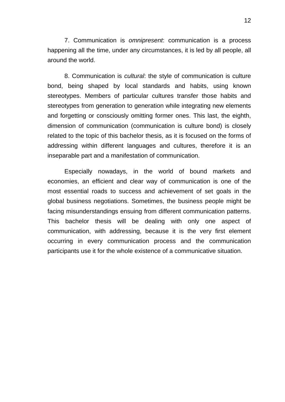7. Communication is *omnipresent*: communication is a process happening all the time, under any circumstances, it is led by all people, all around the world.

8. Communication is *cultural*: the style of communication is culture bond, being shaped by local standards and habits, using known stereotypes. Members of particular cultures transfer those habits and stereotypes from generation to generation while integrating new elements and forgetting or consciously omitting former ones. This last, the eighth, dimension of communication (communication is culture bond) is closely related to the topic of this bachelor thesis, as it is focused on the forms of addressing within different languages and cultures, therefore it is an inseparable part and a manifestation of communication.

Especially nowadays, in the world of bound markets and economies, an efficient and clear way of communication is one of the most essential roads to success and achievement of set goals in the global business negotiations. Sometimes, the business people might be facing misunderstandings ensuing from different communication patterns. This bachelor thesis will be dealing with only one aspect of communication, with addressing, because it is the very first element occurring in every communication process and the communication participants use it for the whole existence of a communicative situation.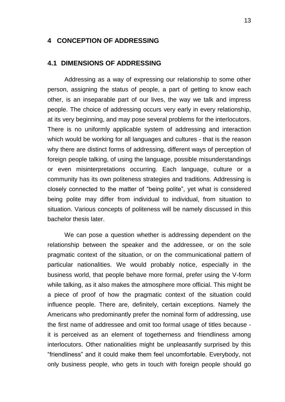### <span id="page-12-0"></span>**4 CONCEPTION OF ADDRESSING**

#### <span id="page-12-1"></span>**4.1 DIMENSIONS OF ADDRESSING**

Addressing as a way of expressing our relationship to some other person, assigning the status of people, a part of getting to know each other, is an inseparable part of our lives, the way we talk and impress people. The choice of addressing occurs very early in every relationship, at its very beginning, and may pose several problems for the interlocutors. There is no uniformly applicable system of addressing and interaction which would be working for all languages and cultures - that is the reason why there are distinct forms of addressing, different ways of perception of foreign people talking, of using the language, possible misunderstandings or even misinterpretations occurring. Each language, culture or a community has its own politeness strategies and traditions. Addressing is closely connected to the matter of "being polite", yet what is considered being polite may differ from individual to individual, from situation to situation. Various concepts of politeness will be namely discussed in this bachelor thesis later.

We can pose a question whether is addressing dependent on the relationship between the speaker and the addressee, or on the sole pragmatic context of the situation, or on the communicational pattern of particular nationalities. We would probably notice, especially in the business world, that people behave more formal, prefer using the V-form while talking, as it also makes the atmosphere more official. This might be a piece of proof of how the pragmatic context of the situation could influence people. There are, definitely, certain exceptions. Namely the Americans who predominantly prefer the nominal form of addressing, use the first name of addressee and omit too formal usage of titles because it is perceived as an element of togetherness and friendliness among interlocutors. Other nationalities might be unpleasantly surprised by this "friendliness" and it could make them feel uncomfortable. Everybody, not only business people, who gets in touch with foreign people should go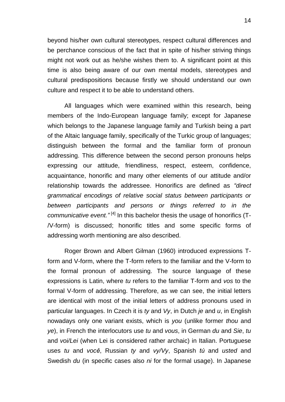beyond his/her own cultural stereotypes, respect cultural differences and be perchance conscious of the fact that in spite of his/her striving things might not work out as he/she wishes them to. A significant point at this time is also being aware of our own mental models, stereotypes and cultural predispositions because firstly we should understand our own culture and respect it to be able to understand others.

All languages which were examined within this research, being members of the Indo-European language family; except for Japanese which belongs to the Japanese language family and Turkish being a part of the Altaic language family, specifically of the Turkic group of languages; distinguish between the formal and the familiar form of pronoun addressing. This difference between the second person pronouns helps expressing our attitude, friendliness, respect, esteem, confidence, acquaintance, honorific and many other elements of our attitude and/or relationship towards the addressee. Honorifics are defined as *"direct grammatical encodings of relative social status between participants or between participants and persons or things referred to in the*  communicative event."<sup>[4]</sup> In this bachelor thesis the usage of honorifics (T-/V-form) is discussed; honorific titles and some specific forms of addressing worth mentioning are also described.

Roger Brown and Albert Gilman (1960) introduced expressions Tform and V-form, where the T-form refers to the familiar and the V-form to the formal pronoun of addressing. The source language of these expressions is Latin, where *tu* refers to the familiar T-form and *vos* to the formal V-form of addressing. Therefore, as we can see, the initial letters are identical with most of the initial letters of address pronouns used in particular languages. In Czech it is *ty* and *Vy*, in Dutch *je* and *u*, in English nowadays only one variant exists, which is *you* (unlike former *thou* and *ye*), in French the interlocutors use *tu* and *vous*, in German *du* and *Sie*, *tu* and *voi/Lei* (when Lei is considered rather archaic) in Italian. Portuguese uses *tu* and *você*, Russian *ty* and *vy/Vy*, Spanish *tú* and *usted* and Swedish *du* (in specific cases also *ni* for the formal usage). In Japanese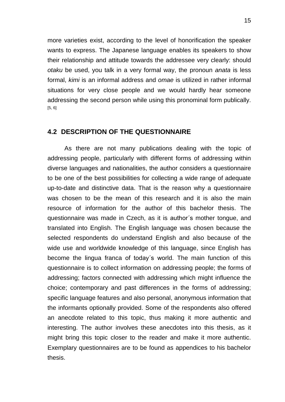more varieties exist, according to the level of honorification the speaker wants to express. The Japanese language enables its speakers to show their relationship and attitude towards the addressee very clearly: should *otaku* be used, you talk in a very formal way, the pronoun *anata* is less formal, *kimi* is an informal address and *omae* is utilized in rather informal situations for very close people and we would hardly hear someone addressing the second person while using this pronominal form publically. [5, 6]

### <span id="page-14-0"></span>**4.2 DESCRIPTION OF THE QUESTIONNAIRE**

As there are not many publications dealing with the topic of addressing people, particularly with different forms of addressing within diverse languages and nationalities, the author considers a questionnaire to be one of the best possibilities for collecting a wide range of adequate up-to-date and distinctive data. That is the reason why a questionnaire was chosen to be the mean of this research and it is also the main resource of information for the author of this bachelor thesis. The questionnaire was made in Czech, as it is author´s mother tongue, and translated into English. The English language was chosen because the selected respondents do understand English and also because of the wide use and worldwide knowledge of this language, since English has become the lingua franca of today´s world. The main function of this questionnaire is to collect information on addressing people; the forms of addressing; factors connected with addressing which might influence the choice; contemporary and past differences in the forms of addressing; specific language features and also personal, anonymous information that the informants optionally provided. Some of the respondents also offered an anecdote related to this topic, thus making it more authentic and interesting. The author involves these anecdotes into this thesis, as it might bring this topic closer to the reader and make it more authentic. Exemplary questionnaires are to be found as appendices to his bachelor thesis.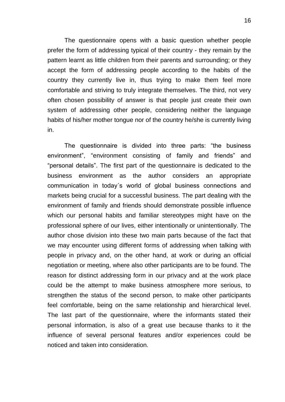The questionnaire opens with a basic question whether people prefer the form of addressing typical of their country - they remain by the pattern learnt as little children from their parents and surrounding; or they accept the form of addressing people according to the habits of the country they currently live in, thus trying to make them feel more comfortable and striving to truly integrate themselves. The third, not very often chosen possibility of answer is that people just create their own system of addressing other people, considering neither the language habits of his/her mother tongue nor of the country he/she is currently living in.

The questionnaire is divided into three parts: "the business environment", "environment consisting of family and friends" and "personal details". The first part of the questionnaire is dedicated to the business environment as the author considers an appropriate communication in today´s world of global business connections and markets being crucial for a successful business. The part dealing with the environment of family and friends should demonstrate possible influence which our personal habits and familiar stereotypes might have on the professional sphere of our lives, either intentionally or unintentionally. The author chose division into these two main parts because of the fact that we may encounter using different forms of addressing when talking with people in privacy and, on the other hand, at work or during an official negotiation or meeting, where also other participants are to be found. The reason for distinct addressing form in our privacy and at the work place could be the attempt to make business atmosphere more serious, to strengthen the status of the second person, to make other participants feel comfortable, being on the same relationship and hierarchical level. The last part of the questionnaire, where the informants stated their personal information, is also of a great use because thanks to it the influence of several personal features and/or experiences could be noticed and taken into consideration.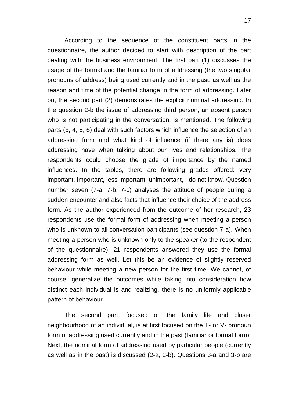According to the sequence of the constituent parts in the questionnaire, the author decided to start with description of the part dealing with the business environment. The first part (1) discusses the usage of the formal and the familiar form of addressing (the two singular pronouns of address) being used currently and in the past, as well as the reason and time of the potential change in the form of addressing. Later on, the second part (2) demonstrates the explicit nominal addressing. In the question 2-b the issue of addressing third person, an absent person who is not participating in the conversation, is mentioned. The following parts (3, 4, 5, 6) deal with such factors which influence the selection of an addressing form and what kind of influence (if there any is) does addressing have when talking about our lives and relationships. The respondents could choose the grade of importance by the named influences. In the tables, there are following grades offered: very important, important, less important, unimportant, I do not know. Question number seven (7-a, 7-b, 7-c) analyses the attitude of people during a sudden encounter and also facts that influence their choice of the address form. As the author experienced from the outcome of her research, 23 respondents use the formal form of addressing when meeting a person who is unknown to all conversation participants (see question 7-a). When meeting a person who is unknown only to the speaker (to the respondent of the questionnaire), 21 respondents answered they use the formal addressing form as well. Let this be an evidence of slightly reserved behaviour while meeting a new person for the first time. We cannot, of course, generalize the outcomes while taking into consideration how distinct each individual is and realizing, there is no uniformly applicable pattern of behaviour.

The second part, focused on the family life and closer neighbourhood of an individual, is at first focused on the T- or V- pronoun form of addressing used currently and in the past (familiar or formal form). Next, the nominal form of addressing used by particular people (currently as well as in the past) is discussed (2-a, 2-b). Questions 3-a and 3-b are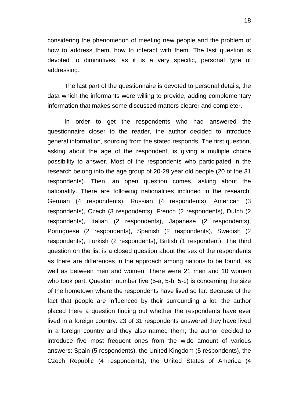considering the phenomenon of meeting new people and the problem of how to address them, how to interact with them. The last question is devoted to diminutives, as it is a very specific, personal type of addressing.

The last part of the questionnaire is devoted to personal details, the data which the informants were willing to provide, adding complementary information that makes some discussed matters clearer and completer.

In order to get the respondents who had answered the questionnaire closer to the reader, the author decided to introduce general information, sourcing from the stated responds. The first question, asking about the age of the respondent, is giving a multiple choice possibility to answer. Most of the respondents who participated in the research belong into the age group of 20-29 year old people (20 of the 31 respondents). Then, an open question comes, asking about the nationality. There are following nationalities included in the research: German (4 respondents), Russian (4 respondents), American (3 respondents), Czech (3 respondents), French (2 respondents), Dutch (2 respondents), Italian (2 respondents), Japanese (2 respondents), Portuguese (2 respondents), Spanish (2 respondents), Swedish (2 respondents), Turkish (2 respondents), British (1 respondent). The third question on the list is a closed question about the sex of the respondents as there are differences in the approach among nations to be found, as well as between men and women. There were 21 men and 10 women who took part. Question number five (5-a, 5-b, 5-c) is concerning the size of the hometown where the respondents have lived so far. Because of the fact that people are influenced by their surrounding a lot, the author placed there a question finding out whether the respondents have ever lived in a foreign country. 23 of 31 respondents answered they have lived in a foreign country and they also named them; the author decided to introduce five most frequent ones from the wide amount of various answers: Spain (5 respondents), the United Kingdom (5 respondents), the Czech Republic (4 respondents), the United States of America (4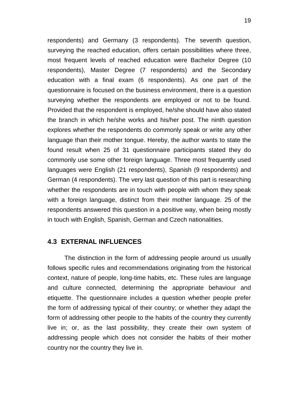respondents) and Germany (3 respondents). The seventh question, surveying the reached education, offers certain possibilities where three, most frequent levels of reached education were Bachelor Degree (10 respondents), Master Degree (7 respondents) and the Secondary education with a final exam (6 respondents). As one part of the questionnaire is focused on the business environment, there is a question surveying whether the respondents are employed or not to be found. Provided that the respondent is employed, he/she should have also stated the branch in which he/she works and his/her post. The ninth question explores whether the respondents do commonly speak or write any other language than their mother tongue. Hereby, the author wants to state the found result when 25 of 31 questionnaire participants stated they do commonly use some other foreign language. Three most frequently used languages were English (21 respondents), Spanish (9 respondents) and German (4 respondents). The very last question of this part is researching whether the respondents are in touch with people with whom they speak with a foreign language, distinct from their mother language. 25 of the respondents answered this question in a positive way, when being mostly in touch with English, Spanish, German and Czech nationalities.

### <span id="page-18-0"></span>**4.3 EXTERNAL INFLUENCES**

The distinction in the form of addressing people around us usually follows specific rules and recommendations originating from the historical context, nature of people, long-time habits, etc. These rules are language and culture connected, determining the appropriate behaviour and etiquette. The questionnaire includes a question whether people prefer the form of addressing typical of their country; or whether they adapt the form of addressing other people to the habits of the country they currently live in; or, as the last possibility, they create their own system of addressing people which does not consider the habits of their mother country nor the country they live in.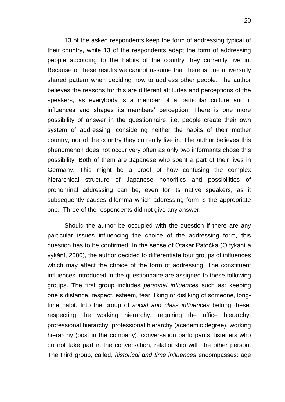13 of the asked respondents keep the form of addressing typical of their country, while 13 of the respondents adapt the form of addressing people according to the habits of the country they currently live in. Because of these results we cannot assume that there is one universally shared pattern when deciding how to address other people. The author believes the reasons for this are different attitudes and perceptions of the speakers, as everybody is a member of a particular culture and it influences and shapes its members' perception. There is one more possibility of answer in the questionnaire, i.e. people create their own system of addressing, considering neither the habits of their mother country, nor of the country they currently live in. The author believes this phenomenon does not occur very often as only two informants chose this possibility. Both of them are Japanese who spent a part of their lives in Germany. This might be a proof of how confusing the complex hierarchical structure of Japanese honorifics and possibilities of pronominal addressing can be, even for its native speakers, as it subsequently causes dilemma which addressing form is the appropriate one. Three of the respondents did not give any answer.

Should the author be occupied with the question if there are any particular issues influencing the choice of the addressing form, this question has to be confirmed. In the sense of Otakar Patočka (O tykání a vykání, 2000), the author decided to differentiate four groups of influences which may affect the choice of the form of addressing. The constituent influences introduced in the questionnaire are assigned to these following groups. The first group includes *personal influences* such as: keeping one´s distance, respect, esteem, fear, liking or disliking of someone, longtime habit. Into the group of *social and class influences* belong these: respecting the working hierarchy, requiring the office hierarchy, professional hierarchy, professional hierarchy (academic degree), working hierarchy (post in the company), conversation participants, listeners who do not take part in the conversation, relationship with the other person. The third group, called, *historical and time influences* encompasses: age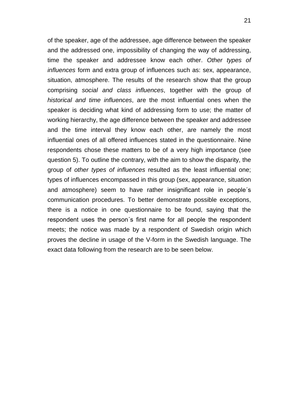of the speaker, age of the addressee, age difference between the speaker and the addressed one, impossibility of changing the way of addressing, time the speaker and addressee know each other. *Other types of influences* form and extra group of influences such as: sex, appearance, situation, atmosphere. The results of the research show that the group comprising *social and class influences*, together with the group of *historical and time influences*, are the most influential ones when the speaker is deciding what kind of addressing form to use; the matter of working hierarchy, the age difference between the speaker and addressee and the time interval they know each other, are namely the most influential ones of all offered influences stated in the questionnaire. Nine respondents chose these matters to be of a very high importance (see question 5). To outline the contrary, with the aim to show the disparity, the group of *other types of influences* resulted as the least influential one; types of influences encompassed in this group (sex, appearance, situation and atmosphere) seem to have rather insignificant role in people´s communication procedures. To better demonstrate possible exceptions, there is a notice in one questionnaire to be found, saying that the respondent uses the person´s first name for all people the respondent meets; the notice was made by a respondent of Swedish origin which proves the decline in usage of the V-form in the Swedish language. The exact data following from the research are to be seen below.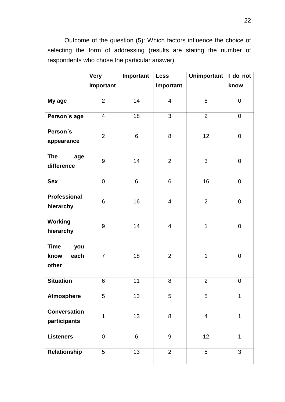Outcome of the question (5): Which factors influence the choice of selecting the form of addressing (results are stating the number of respondents who chose the particular answer)

|                                             | <b>Very</b>             | Important | <b>Less</b>             | <b>Unimportant</b>      | I do not         |
|---------------------------------------------|-------------------------|-----------|-------------------------|-------------------------|------------------|
|                                             | Important               |           | Important               |                         | know             |
|                                             |                         |           |                         |                         |                  |
| My age                                      | $\overline{2}$          | 14        | $\overline{\mathbf{4}}$ | 8                       | $\overline{0}$   |
| Person's age                                | $\overline{\mathbf{4}}$ | 18        | 3                       | $\overline{2}$          | $\boldsymbol{0}$ |
| Person's<br>appearance                      | $\overline{2}$          | 6         | 8                       | 12                      | $\pmb{0}$        |
|                                             |                         |           |                         |                         |                  |
| <b>The</b><br>age<br>difference             | 9                       | 14        | $\overline{2}$          | 3                       | $\mathbf 0$      |
| <b>Sex</b>                                  | $\mathbf 0$             | 6         | 6                       | 16                      | $\mathsf 0$      |
| <b>Professional</b><br>hierarchy            | 6                       | 16        | $\overline{4}$          | $\overline{2}$          | $\mathbf 0$      |
| <b>Working</b><br>hierarchy                 | 9                       | 14        | $\overline{\mathbf{4}}$ | $\mathbf 1$             | $\mathsf 0$      |
| <b>Time</b><br>you<br>know<br>each<br>other | 7                       | 18        | $\overline{2}$          | $\mathbf 1$             | $\boldsymbol{0}$ |
| <b>Situation</b>                            | 6                       | 11        | 8                       | $\overline{2}$          | $\mathbf 0$      |
| <b>Atmosphere</b>                           | 5                       | 13        | 5                       | 5                       | $\mathbf{1}$     |
| <b>Conversation</b><br>participants         | 1                       | 13        | 8                       | $\overline{\mathbf{4}}$ | $\mathbf 1$      |
| <b>Listeners</b>                            | 0                       | 6         | $9\,$                   | 12                      | $\mathbf 1$      |
| Relationship                                | 5                       | 13        | $\overline{2}$          | 5                       | 3                |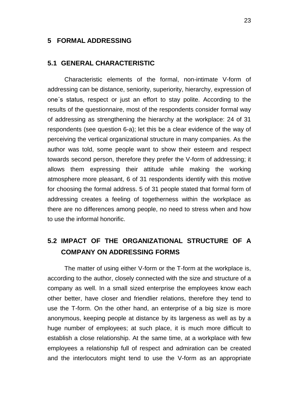#### <span id="page-22-0"></span>**5 FORMAL ADDRESSING**

#### <span id="page-22-1"></span>**5.1 GENERAL CHARACTERISTIC**

Characteristic elements of the formal, non-intimate V-form of addressing can be distance, seniority, superiority, hierarchy, expression of one´s status, respect or just an effort to stay polite. According to the results of the questionnaire, most of the respondents consider formal way of addressing as strengthening the hierarchy at the workplace: 24 of 31 respondents (see question 6-a); let this be a clear evidence of the way of perceiving the vertical organizational structure in many companies. As the author was told, some people want to show their esteem and respect towards second person, therefore they prefer the V-form of addressing; it allows them expressing their attitude while making the working atmosphere more pleasant, 6 of 31 respondents identify with this motive for choosing the formal address. 5 of 31 people stated that formal form of addressing creates a feeling of togetherness within the workplace as there are no differences among people, no need to stress when and how to use the informal honorific.

# <span id="page-22-2"></span>**5.2 IMPACT OF THE ORGANIZATIONAL STRUCTURE OF A COMPANY ON ADDRESSING FORMS**

The matter of using either V-form or the T-form at the workplace is, according to the author, closely connected with the size and structure of a company as well. In a small sized enterprise the employees know each other better, have closer and friendlier relations, therefore they tend to use the T-form. On the other hand, an enterprise of a big size is more anonymous, keeping people at distance by its largeness as well as by a huge number of employees; at such place, it is much more difficult to establish a close relationship. At the same time, at a workplace with few employees a relationship full of respect and admiration can be created and the interlocutors might tend to use the V-form as an appropriate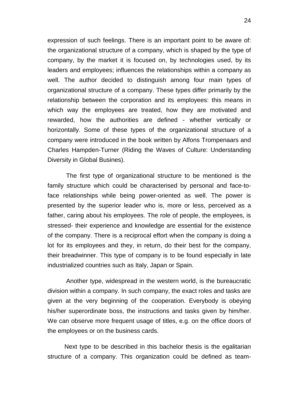expression of such feelings. There is an important point to be aware of: the organizational structure of a company, which is shaped by the type of company, by the market it is focused on, by technologies used, by its leaders and employees; influences the relationships within a company as well. The author decided to distinguish among four main types of organizational structure of a company. These types differ primarily by the relationship between the corporation and its employees: this means in which way the employees are treated, how they are motivated and rewarded, how the authorities are defined - whether vertically or horizontally. Some of these types of the organizational structure of a company were introduced in the book written by Alfons Trompenaars and Charles Hampden-Turner (Riding the Waves of Culture: Understanding Diversity in Global Busines).

The first type of organizational structure to be mentioned is the family structure which could be characterised by personal and face-toface relationships while being power-oriented as well. The power is presented by the superior leader who is, more or less, perceived as a father, caring about his employees. The role of people, the employees, is stressed- their experience and knowledge are essential for the existence of the company. There is a reciprocal effort when the company is doing a lot for its employees and they, in return, do their best for the company, their breadwinner. This type of company is to be found especially in late industrialized countries such as Italy, Japan or Spain.

Another type, widespread in the western world, is the bureaucratic division within a company. In such company, the exact roles and tasks are given at the very beginning of the cooperation. Everybody is obeying his/her superordinate boss, the instructions and tasks given by him/her. We can observe more frequent usage of titles, e.g. on the office doors of the employees or on the business cards.

Next type to be described in this bachelor thesis is the egalitarian structure of a company. This organization could be defined as team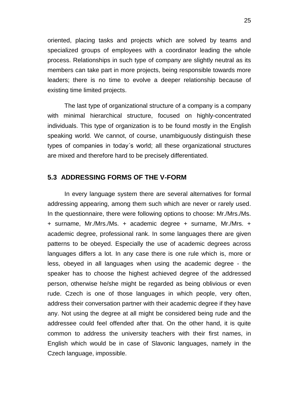oriented, placing tasks and projects which are solved by teams and specialized groups of employees with a coordinator leading the whole process. Relationships in such type of company are slightly neutral as its members can take part in more projects, being responsible towards more leaders; there is no time to evolve a deeper relationship because of existing time limited projects.

The last type of organizational structure of a company is a company with minimal hierarchical structure, focused on highly-concentrated individuals. This type of organization is to be found mostly in the English speaking world. We cannot, of course, unambiguously distinguish these types of companies in today´s world; all these organizational structures are mixed and therefore hard to be precisely differentiated.

### <span id="page-24-0"></span>**5.3 ADDRESSING FORMS OF THE V-FORM**

In every language system there are several alternatives for formal addressing appearing, among them such which are never or rarely used. In the questionnaire, there were following options to choose: Mr./Mrs./Ms. + surname, Mr./Mrs./Ms. + academic degree + surname, Mr./Mrs. + academic degree, professional rank. In some languages there are given patterns to be obeyed. Especially the use of academic degrees across languages differs a lot. In any case there is one rule which is, more or less, obeyed in all languages when using the academic degree - the speaker has to choose the highest achieved degree of the addressed person, otherwise he/she might be regarded as being oblivious or even rude. Czech is one of those languages in which people, very often, address their conversation partner with their academic degree if they have any. Not using the degree at all might be considered being rude and the addressee could feel offended after that. On the other hand, it is quite common to address the university teachers with their first names, in English which would be in case of Slavonic languages, namely in the Czech language, impossible.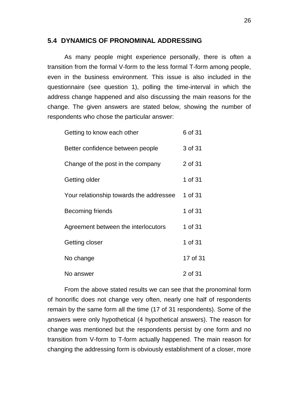## <span id="page-25-0"></span>**5.4 DYNAMICS OF PRONOMINAL ADDRESSING**

As many people might experience personally, there is often a transition from the formal V-form to the less formal T-form among people, even in the business environment. This issue is also included in the questionnaire (see question 1), polling the time-interval in which the address change happened and also discussing the main reasons for the change. The given answers are stated below, showing the number of respondents who chose the particular answer:

| Getting to know each other              | 6 of 31  |
|-----------------------------------------|----------|
| Better confidence between people        | 3 of 31  |
| Change of the post in the company       | 2 of 31  |
| Getting older                           | 1 of 31  |
| Your relationship towards the addressee | 1 of 31  |
| <b>Becoming friends</b>                 | 1 of 31  |
| Agreement between the interlocutors     | 1 of 31  |
| Getting closer                          | 1 of 31  |
| No change                               | 17 of 31 |
| No answer                               | 2 of 31  |

From the above stated results we can see that the pronominal form of honorific does not change very often, nearly one half of respondents remain by the same form all the time (17 of 31 respondents). Some of the answers were only hypothetical (4 hypothetical answers). The reason for change was mentioned but the respondents persist by one form and no transition from V-form to T-form actually happened. The main reason for changing the addressing form is obviously establishment of a closer, more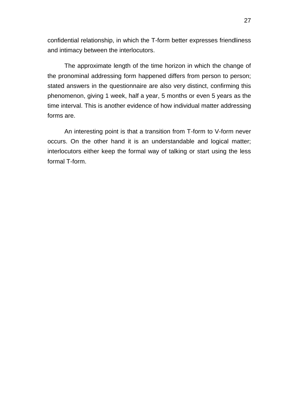confidential relationship, in which the T-form better expresses friendliness and intimacy between the interlocutors.

The approximate length of the time horizon in which the change of the pronominal addressing form happened differs from person to person; stated answers in the questionnaire are also very distinct, confirming this phenomenon, giving 1 week, half a year, 5 months or even 5 years as the time interval. This is another evidence of how individual matter addressing forms are.

An interesting point is that a transition from T-form to V-form never occurs. On the other hand it is an understandable and logical matter; interlocutors either keep the formal way of talking or start using the less formal T-form.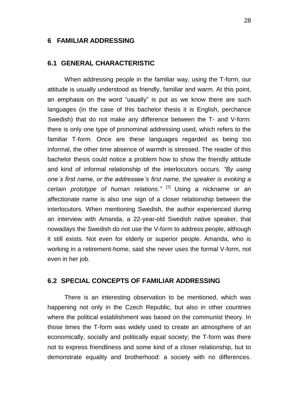### <span id="page-27-0"></span>**6 FAMILIAR ADDRESSING**

#### <span id="page-27-1"></span>**6.1 GENERAL CHARACTERISTIC**

When addressing people in the familiar way, using the T-form, our attitude is usually understood as friendly, familiar and warm. At this point, an emphasis on the word "usually" is put as we know there are such languages (in the case of this bachelor thesis it is English, perchance Swedish) that do not make any difference between the T- and V-form: there is only one type of pronominal addressing used, which refers to the familiar T-form. Once are these languages regarded as being too informal, the other time absence of warmth is stressed. The reader of this bachelor thesis could notice a problem how to show the friendly attitude and kind of informal relationship of the interlocutors occurs. *"By using one´s first name, or the addressee´s first name, the speaker is evoking a certain prototype of human relations."* [7] Using a nickname or an affectionate name is also one sign of a closer relationship between the interlocutors. When mentioning Swedish, the author experienced during an interview with Amanda, a 22-year-old Swedish native speaker, that nowadays the Swedish do not use the V-form to address people, although it still exists. Not even for elderly or superior people. Amanda, who is working in a retirement-home, said she never uses the formal V-form, not even in her job.

## <span id="page-27-2"></span>**6.2 SPECIAL CONCEPTS OF FAMILIAR ADDRESSING**

There is an interesting observation to be mentioned, which was happening not only in the Czech Republic, but also in other countries where the political establishment was based on the communist theory. In those times the T-form was widely used to create an atmosphere of an economically, socially and politically equal society; the T-form was there not to express friendliness and some kind of a closer relationship, but to demonstrate equality and brotherhood: a society with no differences.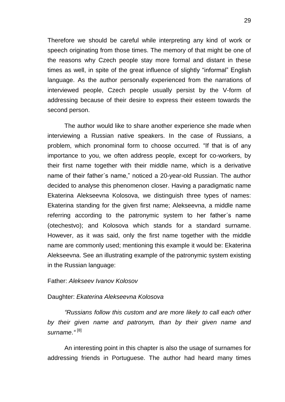Therefore we should be careful while interpreting any kind of work or speech originating from those times. The memory of that might be one of the reasons why Czech people stay more formal and distant in these times as well, in spite of the great influence of slightly "informal" English language. As the author personally experienced from the narrations of interviewed people, Czech people usually persist by the V-form of addressing because of their desire to express their esteem towards the second person.

The author would like to share another experience she made when interviewing a Russian native speakers. In the case of Russians, a problem, which pronominal form to choose occurred. "If that is of any importance to you, we often address people, except for co-workers, by their first name together with their middle name, which is a derivative name of their father´s name," noticed a 20-year-old Russian. The author decided to analyse this phenomenon closer. Having a paradigmatic name Ekaterina Alekseevna Kolosova, we distinguish three types of names: Ekaterina standing for the given first name; Alekseevna, a middle name referring according to the patronymic system to her father´s name (otechestvo); and Kolosova which stands for a standard surname. However, as it was said, only the first name together with the middle name are commonly used; mentioning this example it would be: Ekaterina Alekseevna. See an illustrating example of the patronymic system existing in the Russian language:

#### Father: *Alekseev Ivanov Kolosov*

#### Daughter: *Ekaterina Alekseevna Kolosova*

*"Russians follow this custom and are more likely to call each other by their given name and patronym, than by their given name and surname*.*"* [8]

An interesting point in this chapter is also the usage of surnames for addressing friends in Portuguese. The author had heard many times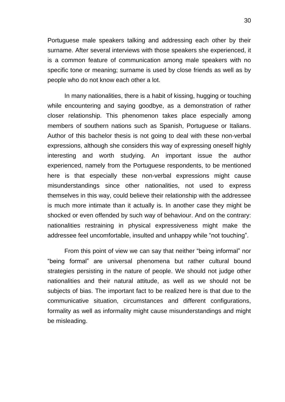Portuguese male speakers talking and addressing each other by their surname. After several interviews with those speakers she experienced, it is a common feature of communication among male speakers with no specific tone or meaning; surname is used by close friends as well as by people who do not know each other a lot.

In many nationalities, there is a habit of kissing, hugging or touching while encountering and saying goodbye, as a demonstration of rather closer relationship. This phenomenon takes place especially among members of southern nations such as Spanish, Portuguese or Italians. Author of this bachelor thesis is not going to deal with these non-verbal expressions, although she considers this way of expressing oneself highly interesting and worth studying. An important issue the author experienced, namely from the Portuguese respondents, to be mentioned here is that especially these non-verbal expressions might cause misunderstandings since other nationalities, not used to express themselves in this way, could believe their relationship with the addressee is much more intimate than it actually is. In another case they might be shocked or even offended by such way of behaviour. And on the contrary: nationalities restraining in physical expressiveness might make the addressee feel uncomfortable, insulted and unhappy while "not touching".

From this point of view we can say that neither "being informal" nor "being formal" are universal phenomena but rather cultural bound strategies persisting in the nature of people. We should not judge other nationalities and their natural attitude, as well as we should not be subjects of bias. The important fact to be realized here is that due to the communicative situation, circumstances and different configurations, formality as well as informality might cause misunderstandings and might be misleading.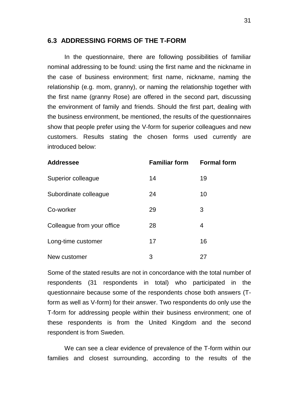### <span id="page-30-0"></span>**6.3 ADDRESSING FORMS OF THE T-FORM**

In the questionnaire, there are following possibilities of familiar nominal addressing to be found: using the first name and the nickname in the case of business environment; first name, nickname, naming the relationship (e.g. mom, granny), or naming the relationship together with the first name (granny Rose) are offered in the second part, discussing the environment of family and friends. Should the first part, dealing with the business environment, be mentioned, the results of the questionnaires show that people prefer using the V-form for superior colleagues and new customers. Results stating the chosen forms used currently are introduced below:

| <b>Addressee</b>           | <b>Familiar form</b> | <b>Formal form</b> |  |
|----------------------------|----------------------|--------------------|--|
| Superior colleague         | 14                   | 19                 |  |
| Subordinate colleague      | 24                   | 10                 |  |
| Co-worker                  | 29                   | 3                  |  |
| Colleague from your office | 28                   | 4                  |  |
| Long-time customer         | 17                   | 16                 |  |
| New customer               | 3                    | 27                 |  |

Some of the stated results are not in concordance with the total number of respondents (31 respondents in total) who participated in the questionnaire because some of the respondents chose both answers (Tform as well as V-form) for their answer. Two respondents do only use the T-form for addressing people within their business environment; one of these respondents is from the United Kingdom and the second respondent is from Sweden.

We can see a clear evidence of prevalence of the T-form within our families and closest surrounding, according to the results of the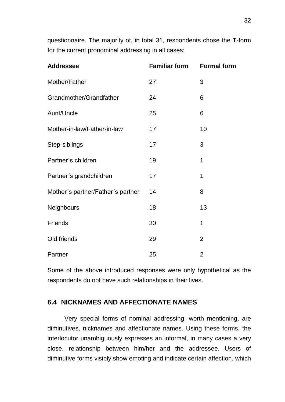questionnaire. The majority of, in total 31, respondents chose the T-form for the current pronominal addressing in all cases:

| <b>Addressee</b>                  | <b>Familiar form</b> | <b>Formal form</b> |
|-----------------------------------|----------------------|--------------------|
| Mother/Father                     | 27                   | 3                  |
| Grandmother/Grandfather           | 24                   | 6                  |
| Aunt/Uncle                        | 25                   | 6                  |
| Mother-in-law/Father-in-law       | 17                   | 10                 |
| Step-siblings                     | 17                   | 3                  |
| Partner's children                | 19                   | 1                  |
| Partner's grandchildren           | 17                   | 1                  |
| Mother's partner/Father's partner | 14                   | 8                  |
| Neighbours                        | 18                   | 13                 |
| Friends                           | 30                   | 1                  |
| Old friends                       | 29                   | 2                  |
| Partner                           | 25                   | $\overline{2}$     |

Some of the above introduced responses were only hypothetical as the respondents do not have such relationships in their lives.

## <span id="page-31-0"></span>**6.4 NICKNAMES AND AFFECTIONATE NAMES**

Very special forms of nominal addressing, worth mentioning, are diminutives, nicknames and affectionate names. Using these forms, the interlocutor unambiguously expresses an informal, in many cases a very close, relationship between him/her and the addressee. Users of diminutive forms visibly show emoting and indicate certain affection, which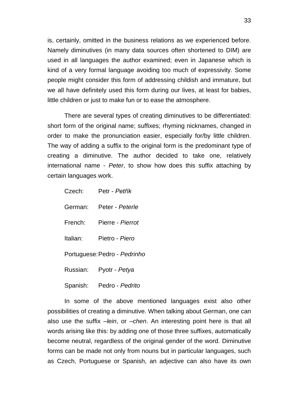is, certainly, omitted in the business relations as we experienced before. Namely diminutives (in many data sources often shortened to DIM) are used in all languages the author examined; even in Japanese which is kind of a very formal language avoiding too much of expressivity. Some people might consider this form of addressing childish and immature, but we all have definitely used this form during our lives, at least for babies, little children or just to make fun or to ease the atmosphere.

There are several types of creating diminutives to be differentiated: short form of the original name; suffixes; rhyming nicknames, changed in order to make the pronunciation easier, especially for/by little children. The way of adding a suffix to the original form is the predominant type of creating a diminutive. The author decided to take one, relatively international name - *Peter*, to show how does this suffix attaching by certain languages work.

| Czech:   | Petr - Petřík                |
|----------|------------------------------|
| German:  | Peter - Peterle              |
| French:  | Pierre - Pierrot             |
| Italian: | Pietro - Piero               |
|          | Portuguese: Pedro - Pedrinho |
| Russian: | Pyotr - Petya                |
| Spanish: | Pedro - Pedrito              |

In some of the above mentioned languages exist also other possibilities of creating a diminutive. When talking about German, one can also use the suffix *–lein*, or *–chen*. An interesting point here is that all words arising like this: by adding one of those three suffixes, automatically become neutral, regardless of the original gender of the word. Diminutive forms can be made not only from nouns but in particular languages, such as Czech, Portuguese or Spanish, an adjective can also have its own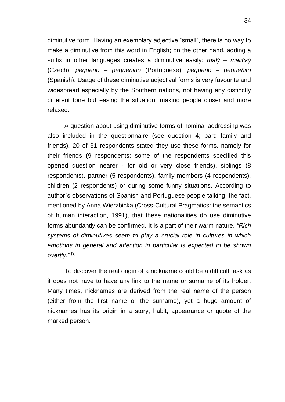diminutive form. Having an exemplary adjective "small", there is no way to make a diminutive from this word in English; on the other hand, adding a suffix in other languages creates a diminutive easily: *malý – maličký* (Czech), *pequeno – pequenino* (Portuguese), *pequeño – pequeñito* (Spanish). Usage of these diminutive adjectival forms is very favourite and widespread especially by the Southern nations, not having any distinctly different tone but easing the situation, making people closer and more relaxed.

A question about using diminutive forms of nominal addressing was also included in the questionnaire (see question 4; part: family and friends). 20 of 31 respondents stated they use these forms, namely for their friends (9 respondents; some of the respondents specified this opened question nearer - for old or very close friends), siblings (8 respondents), partner (5 respondents), family members (4 respondents), children (2 respondents) or during some funny situations. According to author´s observations of Spanish and Portuguese people talking, the fact, mentioned by Anna Wierzbicka (Cross-Cultural Pragmatics: the semantics of human interaction, 1991), that these nationalities do use diminutive forms abundantly can be confirmed. It is a part of their warm nature. *"Rich systems of diminutives seem to play a crucial role in cultures in which emotions in general and affection in particular is expected to be shown overtly."* [9]

To discover the real origin of a nickname could be a difficult task as it does not have to have any link to the name or surname of its holder. Many times, nicknames are derived from the real name of the person (either from the first name or the surname), yet a huge amount of nicknames has its origin in a story, habit, appearance or quote of the marked person.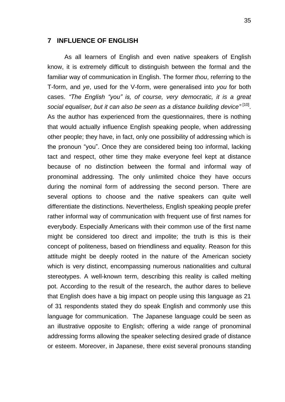#### <span id="page-34-0"></span>**7 INFLUENCE OF ENGLISH**

As all learners of English and even native speakers of English know, it is extremely difficult to distinguish between the formal and the familiar way of communication in English. The former *thou*, referring to the T-form, and *ye*, used for the V-form, were generalised into *you* for both cases. *"The English "you" is, of course, very democratic, it is a great*  social equaliser, but it can also be seen as a distance building device"<sup>[10]</sup>. As the author has experienced from the questionnaires, there is nothing that would actually influence English speaking people, when addressing other people; they have, in fact, only one possibility of addressing which is the pronoun "you". Once they are considered being too informal, lacking tact and respect, other time they make everyone feel kept at distance because of no distinction between the formal and informal way of pronominal addressing. The only unlimited choice they have occurs during the nominal form of addressing the second person. There are several options to choose and the native speakers can quite well differentiate the distinctions. Nevertheless, English speaking people prefer rather informal way of communication with frequent use of first names for everybody. Especially Americans with their common use of the first name might be considered too direct and impolite; the truth is this is their concept of politeness, based on friendliness and equality. Reason for this attitude might be deeply rooted in the nature of the American society which is very distinct, encompassing numerous nationalities and cultural stereotypes. A well-known term, describing this reality is called melting pot. According to the result of the research, the author dares to believe that English does have a big impact on people using this language as 21 of 31 respondents stated they do speak English and commonly use this language for communication. The Japanese language could be seen as an illustrative opposite to English; offering a wide range of pronominal addressing forms allowing the speaker selecting desired grade of distance or esteem. Moreover, in Japanese, there exist several pronouns standing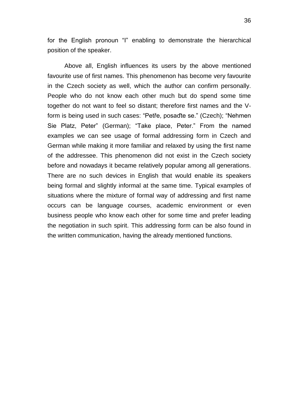for the English pronoun "I" enabling to demonstrate the hierarchical position of the speaker.

Above all, English influences its users by the above mentioned favourite use of first names. This phenomenon has become very favourite in the Czech society as well, which the author can confirm personally. People who do not know each other much but do spend some time together do not want to feel so distant; therefore first names and the Vform is being used in such cases: "Petře, posaďte se." (Czech); "Nehmen Sie Platz, Peter" (German); "Take place, Peter." From the named examples we can see usage of formal addressing form in Czech and German while making it more familiar and relaxed by using the first name of the addressee. This phenomenon did not exist in the Czech society before and nowadays it became relatively popular among all generations. There are no such devices in English that would enable its speakers being formal and slightly informal at the same time. Typical examples of situations where the mixture of formal way of addressing and first name occurs can be language courses, academic environment or even business people who know each other for some time and prefer leading the negotiation in such spirit. This addressing form can be also found in the written communication, having the already mentioned functions.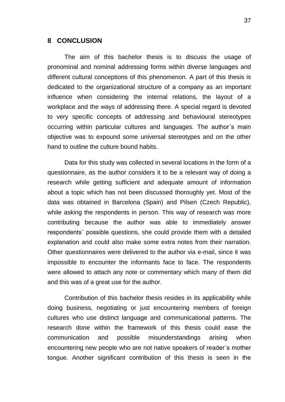#### <span id="page-36-0"></span>**8 CONCLUSION**

The aim of this bachelor thesis is to discuss the usage of pronominal and nominal addressing forms within diverse languages and different cultural conceptions of this phenomenon. A part of this thesis is dedicated to the organizational structure of a company as an important influence when considering the internal relations, the layout of a workplace and the ways of addressing there. A special regard is devoted to very specific concepts of addressing and behavioural stereotypes occurring within particular cultures and languages. The author´s main objective was to expound some universal stereotypes and on the other hand to outline the culture bound habits.

Data for this study was collected in several locations in the form of a questionnaire, as the author considers it to be a relevant way of doing a research while getting sufficient and adequate amount of information about a topic which has not been discussed thoroughly yet. Most of the data was obtained in Barcelona (Spain) and Pilsen (Czech Republic), while asking the respondents in person. This way of research was more contributing because the author was able to immediately answer respondents´ possible questions, she could provide them with a detailed explanation and could also make some extra notes from their narration. Other questionnaires were delivered to the author via e-mail, since it was impossible to encounter the informants face to face. The respondents were allowed to attach any note or commentary which many of them did and this was of a great use for the author.

Contribution of this bachelor thesis resides in its applicability while doing business, negotiating or just encountering members of foreign cultures who use distinct language and communicational patterns. The research done within the framework of this thesis could ease the communication and possible misunderstandings arising when encountering new people who are not native speakers of reader´s mother tongue. Another significant contribution of this thesis is seen in the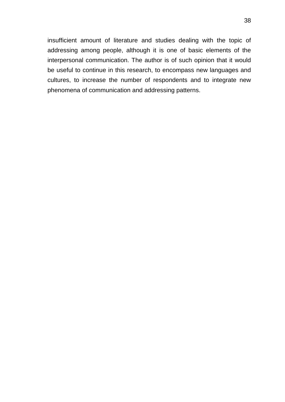insufficient amount of literature and studies dealing with the topic of addressing among people, although it is one of basic elements of the interpersonal communication. The author is of such opinion that it would be useful to continue in this research, to encompass new languages and cultures, to increase the number of respondents and to integrate new phenomena of communication and addressing patterns.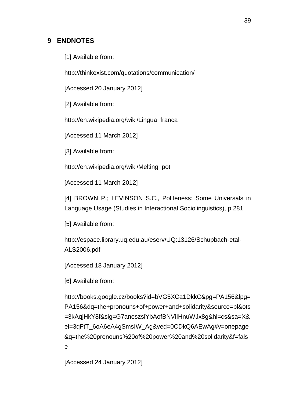# <span id="page-38-0"></span>**9 ENDNOTES**

[1] Available from:

<http://thinkexist.com/quotations/communication/>

[Accessed 20 January 2012]

[2] Available from:

[http://en.wikipedia.org/wiki/Lingua\\_franca](http://en.wikipedia.org/wiki/Lingua_franca)

[Accessed 11 March 2012]

[3] Available from:

[http://en.wikipedia.org/wiki/Melting\\_pot](http://en.wikipedia.org/wiki/Melting_pot)

[Accessed 11 March 2012]

[4] BROWN P.; LEVINSON S.C., Politeness: Some Universals in Language Usage (Studies in Interactional Sociolinguistics), p.281

[5] Available from:

[http://espace.library.uq.edu.au/eserv/UQ:13126/Schupbach-etal-](http://espace.library.uq.edu.au/eserv/UQ:13126/Schupbach-etal-ALS2006.pdf)[ALS2006.pdf](http://espace.library.uq.edu.au/eserv/UQ:13126/Schupbach-etal-ALS2006.pdf)

[Accessed 18 January 2012]

[6] Available from:

[http://books.google.cz/books?id=bVG5XCa1DkkC&pg=PA156&lpg=](http://books.google.cz/books?id=bVG5XCa1DkkC&pg=PA156&lpg=PA156&dq=the+pronouns+of+power+and+solidarity&source=bl&ots=3kAqjHkY8f&sig=G7aneszslYbAofBNViIHnuWJx8g&hl=cs&sa=X&ei=3qFtT_6oA6eA4gSmsIW_Ag&ved=0CDkQ6AEwAg#v=onepage&q=the%20pronouns%20of%20power%20and%20solidarity&f=false) [PA156&dq=the+pronouns+of+power+and+solidarity&source=bl&ots](http://books.google.cz/books?id=bVG5XCa1DkkC&pg=PA156&lpg=PA156&dq=the+pronouns+of+power+and+solidarity&source=bl&ots=3kAqjHkY8f&sig=G7aneszslYbAofBNViIHnuWJx8g&hl=cs&sa=X&ei=3qFtT_6oA6eA4gSmsIW_Ag&ved=0CDkQ6AEwAg#v=onepage&q=the%20pronouns%20of%20power%20and%20solidarity&f=false) [=3kAqjHkY8f&sig=G7aneszslYbAofBNViIHnuWJx8g&hl=cs&sa=X&](http://books.google.cz/books?id=bVG5XCa1DkkC&pg=PA156&lpg=PA156&dq=the+pronouns+of+power+and+solidarity&source=bl&ots=3kAqjHkY8f&sig=G7aneszslYbAofBNViIHnuWJx8g&hl=cs&sa=X&ei=3qFtT_6oA6eA4gSmsIW_Ag&ved=0CDkQ6AEwAg#v=onepage&q=the%20pronouns%20of%20power%20and%20solidarity&f=false) [ei=3qFtT\\_6oA6eA4gSmsIW\\_Ag&ved=0CDkQ6AEwAg#v=onepage](http://books.google.cz/books?id=bVG5XCa1DkkC&pg=PA156&lpg=PA156&dq=the+pronouns+of+power+and+solidarity&source=bl&ots=3kAqjHkY8f&sig=G7aneszslYbAofBNViIHnuWJx8g&hl=cs&sa=X&ei=3qFtT_6oA6eA4gSmsIW_Ag&ved=0CDkQ6AEwAg#v=onepage&q=the%20pronouns%20of%20power%20and%20solidarity&f=false) [&q=the%20pronouns%20of%20power%20and%20solidarity&f=fals](http://books.google.cz/books?id=bVG5XCa1DkkC&pg=PA156&lpg=PA156&dq=the+pronouns+of+power+and+solidarity&source=bl&ots=3kAqjHkY8f&sig=G7aneszslYbAofBNViIHnuWJx8g&hl=cs&sa=X&ei=3qFtT_6oA6eA4gSmsIW_Ag&ved=0CDkQ6AEwAg#v=onepage&q=the%20pronouns%20of%20power%20and%20solidarity&f=false) [e](http://books.google.cz/books?id=bVG5XCa1DkkC&pg=PA156&lpg=PA156&dq=the+pronouns+of+power+and+solidarity&source=bl&ots=3kAqjHkY8f&sig=G7aneszslYbAofBNViIHnuWJx8g&hl=cs&sa=X&ei=3qFtT_6oA6eA4gSmsIW_Ag&ved=0CDkQ6AEwAg#v=onepage&q=the%20pronouns%20of%20power%20and%20solidarity&f=false)

[Accessed 24 January 2012]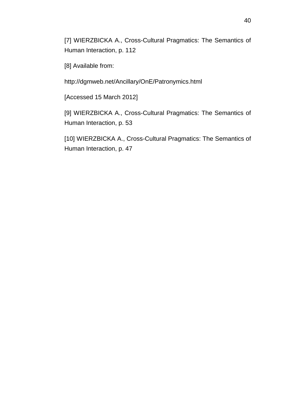[7] WIERZBICKA A., Cross-Cultural Pragmatics: The Semantics of Human Interaction, p. 112

[8] Available from:

<http://dgmweb.net/Ancillary/OnE/Patronymics.html>

[Accessed 15 March 2012]

[9] WIERZBICKA A., Cross-Cultural Pragmatics: The Semantics of Human Interaction, p. 53

[10] WIERZBICKA A., Cross-Cultural Pragmatics: The Semantics of Human Interaction, p. 47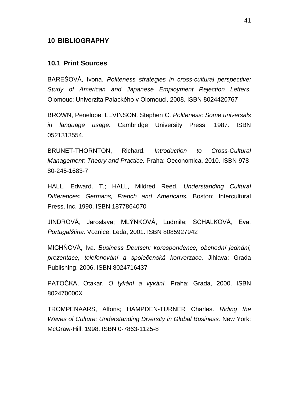#### <span id="page-40-0"></span>**10 BIBLIOGRAPHY**

#### <span id="page-40-1"></span>**10.1 Print Sources**

BAREŠOVÁ, Ivona. *Politeness strategies in cross-cultural perspective: Study of American and Japanese Employment Rejection Letters.* Olomouc: Univerzita Palackého v Olomouci, 2008. ISBN 8024420767

BROWN, Penelope; LEVINSON, Stephen C. *Politeness: Some universals in language usage.* Cambridge University Press, 1987. ISBN 0521313554.

BRUNET-THORNTON, Richard. *Introduction to Cross-Cultural Management: Theory and Practice.* Praha: Oeconomica, 2010. ISBN 978- 80-245-1683-7

HALL, Edward. T.; HALL, Mildred Reed. *Understanding Cultural Differences: Germans, French and Americans.* Boston: Intercultural Press, Inc, 1990. ISBN 1877864070

JINDROVÁ, Jaroslava; MLÝNKOVÁ, Ludmila; SCHALKOVÁ, Eva. *Portugalština.* Voznice: Leda, 2001. ISBN 8085927942

MICHŇOVÁ, Iva. *Business Deutsch: korespondence, obchodní jednání, prezentace, telefonování a společenská konverzace.* Jihlava: Grada Publishing, 2006. ISBN 8024716437

PATOČKA, Otakar. *O tykání a vykání.* Praha: Grada, 2000. ISBN 802470000X

TROMPENAARS, Alfons; HAMPDEN-TURNER Charles. *Riding the Waves of Culture: Understanding Diversity in Global Business.* New York: McGraw-Hill, 1998. ISBN 0-7863-1125-8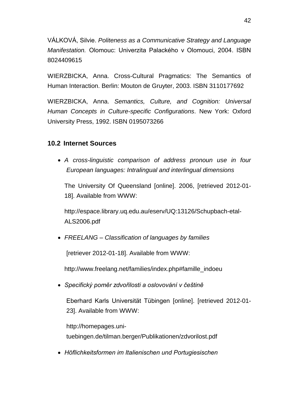VÁLKOVÁ, Silvie. *Politeness as a Communicative Strategy and Language Manifestation.* Olomouc: Univerzita Palackého v Olomouci, 2004. ISBN 8024409615

WIERZBICKA, Anna. Cross-Cultural Pragmatics: The Semantics of Human Interaction. Berlin: Mouton de Gruyter, 2003. ISBN 3110177692

WIERZBICKA, Anna. *Semantics, Culture, and Cognition: Universal Human Concepts in Culture-specific Configurations*. New York: Oxford University Press, 1992. ISBN 0195073266

# <span id="page-41-0"></span>**10.2 Internet Sources**

 *A cross-linguistic comparison of address pronoun use in four European languages: Intralingual and interlingual dimensions* 

The University Of Queensland [online]. 2006, [retrieved 2012-01- 18]. Available from WWW:

[http://espace.library.uq.edu.au/eserv/UQ:13126/Schupbach-etal-](http://espace.library.uq.edu.au/eserv/UQ:13126/Schupbach-etal-ALS2006.pdf)[ALS2006.pdf](http://espace.library.uq.edu.au/eserv/UQ:13126/Schupbach-etal-ALS2006.pdf)

*FREELANG – Classification of languages by families*

[retriever 2012-01-18]. Available from WWW:

[http://www.freelang.net/families/index.php#famille\\_indoeu](http://www.freelang.net/families/index.php#famille_indoeu)

*Specifický poměr zdvořilosti a oslovování v češtině*

Eberhard Karls Universität Tübingen [online]. [retrieved 2012-01- 23]. Available from WWW:

[http://homepages.uni](http://homepages.uni-tuebingen.de/tilman.berger/Publikationen/zdvorilost.pdf)[tuebingen.de/tilman.berger/Publikationen/zdvorilost.pdf](http://homepages.uni-tuebingen.de/tilman.berger/Publikationen/zdvorilost.pdf)

*Höflichkeitsformen im Italienischen und Portugiesischen*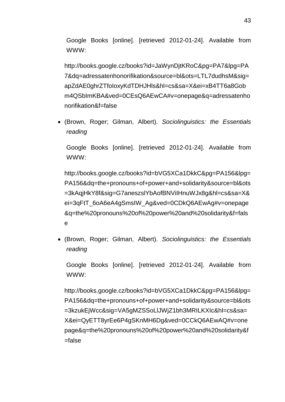Google Books [online]. [retrieved 2012-01-24]. Available from WWW:

[http://books.google.cz/books?id=JaWynDjtKRoC&pg=PA7&lpg=PA](http://books.google.cz/books?id=JaWynDjtKRoC&pg=PA7&lpg=PA7&dq=adressatenhonorifikation&source=bl&ots=LTL7dudhsM&sig=apZdAE0ghrZTfoIoxyKdTDHJHls&hl=cs&sa=X&ei=xB4TT6a8Gobm4QSbImKBA&ved=0CEsQ6AEwCA#v=onepage&q=adressatenhonorifikation&f=false) [7&dq=adressatenhonorifikation&source=bl&ots=LTL7dudhsM&sig=](http://books.google.cz/books?id=JaWynDjtKRoC&pg=PA7&lpg=PA7&dq=adressatenhonorifikation&source=bl&ots=LTL7dudhsM&sig=apZdAE0ghrZTfoIoxyKdTDHJHls&hl=cs&sa=X&ei=xB4TT6a8Gobm4QSbImKBA&ved=0CEsQ6AEwCA#v=onepage&q=adressatenhonorifikation&f=false) [apZdAE0ghrZTfoIoxyKdTDHJHls&hl=cs&sa=X&ei=xB4TT6a8Gob](http://books.google.cz/books?id=JaWynDjtKRoC&pg=PA7&lpg=PA7&dq=adressatenhonorifikation&source=bl&ots=LTL7dudhsM&sig=apZdAE0ghrZTfoIoxyKdTDHJHls&hl=cs&sa=X&ei=xB4TT6a8Gobm4QSbImKBA&ved=0CEsQ6AEwCA#v=onepage&q=adressatenhonorifikation&f=false) [m4QSbImKBA&ved=0CEsQ6AEwCA#v=onepage&q=adressatenho](http://books.google.cz/books?id=JaWynDjtKRoC&pg=PA7&lpg=PA7&dq=adressatenhonorifikation&source=bl&ots=LTL7dudhsM&sig=apZdAE0ghrZTfoIoxyKdTDHJHls&hl=cs&sa=X&ei=xB4TT6a8Gobm4QSbImKBA&ved=0CEsQ6AEwCA#v=onepage&q=adressatenhonorifikation&f=false) [norifikation&f=false](http://books.google.cz/books?id=JaWynDjtKRoC&pg=PA7&lpg=PA7&dq=adressatenhonorifikation&source=bl&ots=LTL7dudhsM&sig=apZdAE0ghrZTfoIoxyKdTDHJHls&hl=cs&sa=X&ei=xB4TT6a8Gobm4QSbImKBA&ved=0CEsQ6AEwCA#v=onepage&q=adressatenhonorifikation&f=false)

 (Brown, Roger; Gilman, Albert). *Sociolinguistics: the Essentials reading*

Google Books [online]. [retrieved 2012-01-24]. Available from WWW:

[http://books.google.cz/books?id=bVG5XCa1DkkC&pg=PA156&lpg=](http://books.google.cz/books?id=bVG5XCa1DkkC&pg=PA156&lpg=PA156&dq=the+pronouns+of+power+and+solidarity&source=bl&ots=3kAqjHkY8f&sig=G7aneszslYbAofBNViIHnuWJx8g&hl=cs&sa=X&ei=3qFtT_6oA6eA4gSmsIW_Ag&ved=0CDkQ6AEwAg#v=onepage&q=the%20pronouns%20of%20power%20and%20solidarity&f=false) [PA156&dq=the+pronouns+of+power+and+solidarity&source=bl&ots](http://books.google.cz/books?id=bVG5XCa1DkkC&pg=PA156&lpg=PA156&dq=the+pronouns+of+power+and+solidarity&source=bl&ots=3kAqjHkY8f&sig=G7aneszslYbAofBNViIHnuWJx8g&hl=cs&sa=X&ei=3qFtT_6oA6eA4gSmsIW_Ag&ved=0CDkQ6AEwAg#v=onepage&q=the%20pronouns%20of%20power%20and%20solidarity&f=false) [=3kAqjHkY8f&sig=G7aneszslYbAofBNViIHnuWJx8g&hl=cs&sa=X&](http://books.google.cz/books?id=bVG5XCa1DkkC&pg=PA156&lpg=PA156&dq=the+pronouns+of+power+and+solidarity&source=bl&ots=3kAqjHkY8f&sig=G7aneszslYbAofBNViIHnuWJx8g&hl=cs&sa=X&ei=3qFtT_6oA6eA4gSmsIW_Ag&ved=0CDkQ6AEwAg#v=onepage&q=the%20pronouns%20of%20power%20and%20solidarity&f=false) [ei=3qFtT\\_6oA6eA4gSmsIW\\_Ag&ved=0CDkQ6AEwAg#v=onepage](http://books.google.cz/books?id=bVG5XCa1DkkC&pg=PA156&lpg=PA156&dq=the+pronouns+of+power+and+solidarity&source=bl&ots=3kAqjHkY8f&sig=G7aneszslYbAofBNViIHnuWJx8g&hl=cs&sa=X&ei=3qFtT_6oA6eA4gSmsIW_Ag&ved=0CDkQ6AEwAg#v=onepage&q=the%20pronouns%20of%20power%20and%20solidarity&f=false) [&q=the%20pronouns%20of%20power%20and%20solidarity&f=fals](http://books.google.cz/books?id=bVG5XCa1DkkC&pg=PA156&lpg=PA156&dq=the+pronouns+of+power+and+solidarity&source=bl&ots=3kAqjHkY8f&sig=G7aneszslYbAofBNViIHnuWJx8g&hl=cs&sa=X&ei=3qFtT_6oA6eA4gSmsIW_Ag&ved=0CDkQ6AEwAg#v=onepage&q=the%20pronouns%20of%20power%20and%20solidarity&f=false) [e](http://books.google.cz/books?id=bVG5XCa1DkkC&pg=PA156&lpg=PA156&dq=the+pronouns+of+power+and+solidarity&source=bl&ots=3kAqjHkY8f&sig=G7aneszslYbAofBNViIHnuWJx8g&hl=cs&sa=X&ei=3qFtT_6oA6eA4gSmsIW_Ag&ved=0CDkQ6AEwAg#v=onepage&q=the%20pronouns%20of%20power%20and%20solidarity&f=false)

 (Brown, Roger; Gilman, Albert). *Sociolinguistics: the Essentials reading*

Google Books [online]. [retrieved 2012-01-24]. Available from WWW:

[http://books.google.cz/books?id=bVG5XCa1DkkC&pg=PA156&lpg=](http://books.google.cz/books?id=bVG5XCa1DkkC&pg=PA156&lpg=PA156&dq=the+pronouns+of+power+and+solidarity&source=bl&ots=3kzukEjWcc&sig=VA5gMZSSoLlJWjZ1bh3MRILKXIc&hl=cs&sa=X&ei=QyETT8yrEe6P4gSKnMH6Dg&ved=0CCkQ6AEwAQ#v=onepage&q=the%20pronouns%20of%20power%20and%20solidarity&f=false) [PA156&dq=the+pronouns+of+power+and+solidarity&source=bl&ots](http://books.google.cz/books?id=bVG5XCa1DkkC&pg=PA156&lpg=PA156&dq=the+pronouns+of+power+and+solidarity&source=bl&ots=3kzukEjWcc&sig=VA5gMZSSoLlJWjZ1bh3MRILKXIc&hl=cs&sa=X&ei=QyETT8yrEe6P4gSKnMH6Dg&ved=0CCkQ6AEwAQ#v=onepage&q=the%20pronouns%20of%20power%20and%20solidarity&f=false) [=3kzukEjWcc&sig=VA5gMZSSoLlJWjZ1bh3MRILKXIc&hl=cs&sa=](http://books.google.cz/books?id=bVG5XCa1DkkC&pg=PA156&lpg=PA156&dq=the+pronouns+of+power+and+solidarity&source=bl&ots=3kzukEjWcc&sig=VA5gMZSSoLlJWjZ1bh3MRILKXIc&hl=cs&sa=X&ei=QyETT8yrEe6P4gSKnMH6Dg&ved=0CCkQ6AEwAQ#v=onepage&q=the%20pronouns%20of%20power%20and%20solidarity&f=false) [X&ei=QyETT8yrEe6P4gSKnMH6Dg&ved=0CCkQ6AEwAQ#v=one](http://books.google.cz/books?id=bVG5XCa1DkkC&pg=PA156&lpg=PA156&dq=the+pronouns+of+power+and+solidarity&source=bl&ots=3kzukEjWcc&sig=VA5gMZSSoLlJWjZ1bh3MRILKXIc&hl=cs&sa=X&ei=QyETT8yrEe6P4gSKnMH6Dg&ved=0CCkQ6AEwAQ#v=onepage&q=the%20pronouns%20of%20power%20and%20solidarity&f=false) [page&q=the%20pronouns%20of%20power%20and%20solidarity&f](http://books.google.cz/books?id=bVG5XCa1DkkC&pg=PA156&lpg=PA156&dq=the+pronouns+of+power+and+solidarity&source=bl&ots=3kzukEjWcc&sig=VA5gMZSSoLlJWjZ1bh3MRILKXIc&hl=cs&sa=X&ei=QyETT8yrEe6P4gSKnMH6Dg&ved=0CCkQ6AEwAQ#v=onepage&q=the%20pronouns%20of%20power%20and%20solidarity&f=false)  $=$ false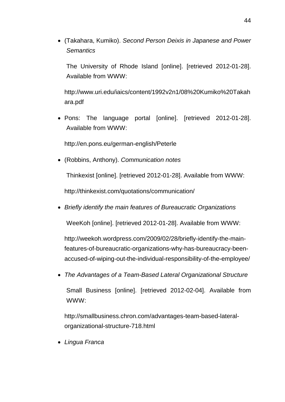(Takahara, Kumiko). *Second Person Deixis in Japanese and Power Semantics*

The University of Rhode Island [online]. [retrieved 2012-01-28]. Available from WWW:

[http://www.uri.edu/iaics/content/1992v2n1/08%20Kumiko%20Takah](http://www.uri.edu/iaics/content/1992v2n1/08%20Kumiko%20Takahara.pdf) [ara.pdf](http://www.uri.edu/iaics/content/1992v2n1/08%20Kumiko%20Takahara.pdf)

 Pons: The language portal [online]. [retrieved 2012-01-28]. Available from WWW:

<http://en.pons.eu/german-english/Peterle>

(Robbins, Anthony). *Communication notes*

Thinkexist [online]. [retrieved 2012-01-28]. Available from WWW:

<http://thinkexist.com/quotations/communication/>

*Briefly identify the main features of Bureaucratic Organizations*

WeeKoh [online]. [retrieved 2012-01-28]. Available from WWW:

[http://weekoh.wordpress.com/2009/02/28/briefly-identify-the-main](http://weekoh.wordpress.com/2009/02/28/briefly-identify-the-main-features-of-bureaucratic-organizations-why-has-bureaucracy-been-accused-of-wiping-out-the-individual-responsibility-of-the-employee/)[features-of-bureaucratic-organizations-why-has-bureaucracy-been](http://weekoh.wordpress.com/2009/02/28/briefly-identify-the-main-features-of-bureaucratic-organizations-why-has-bureaucracy-been-accused-of-wiping-out-the-individual-responsibility-of-the-employee/)[accused-of-wiping-out-the-individual-responsibility-of-the-employee/](http://weekoh.wordpress.com/2009/02/28/briefly-identify-the-main-features-of-bureaucratic-organizations-why-has-bureaucracy-been-accused-of-wiping-out-the-individual-responsibility-of-the-employee/)

 *The Advantages of a Team-Based Lateral Organizational Structure* Small Business [online]. [retrieved 2012-02-04]. Available from WWW:

[http://smallbusiness.chron.com/advantages-team-based-lateral](http://smallbusiness.chron.com/advantages-team-based-lateral-organizational-structure-718.html)[organizational-structure-718.html](http://smallbusiness.chron.com/advantages-team-based-lateral-organizational-structure-718.html)

*Lingua Franca*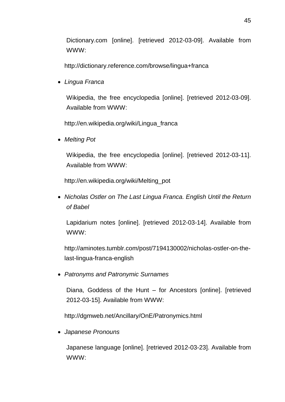Dictionary.com [online]. [retrieved 2012-03-09]. Available from WWW:

<http://dictionary.reference.com/browse/lingua+franca>

*Lingua Franca*

Wikipedia, the free encyclopedia [online]. [retrieved 2012-03-09]. Available from WWW:

[http://en.wikipedia.org/wiki/Lingua\\_franca](http://en.wikipedia.org/wiki/Lingua_franca)

*Melting Pot*

Wikipedia, the free encyclopedia [online]. [retrieved 2012-03-11]. Available from WWW:

[http://en.wikipedia.org/wiki/Melting\\_pot](http://en.wikipedia.org/wiki/Melting_pot)

 *Nicholas Ostler on The Last Lingua Franca. English Until the Return of Babel*

Lapidarium notes [online]. [retrieved 2012-03-14]. Available from WWW:

[http://aminotes.tumblr.com/post/7194130002/nicholas-ostler-on-the](http://aminotes.tumblr.com/post/7194130002/nicholas-ostler-on-the-last-lingua-franca-english)[last-lingua-franca-english](http://aminotes.tumblr.com/post/7194130002/nicholas-ostler-on-the-last-lingua-franca-english)

*Patronyms and Patronymic Surnames*

Diana, Goddess of the Hunt – for Ancestors [online]. [retrieved 2012-03-15]. Available from WWW:

<http://dgmweb.net/Ancillary/OnE/Patronymics.html>

*Japanese Pronouns*

Japanese language [online]. [retrieved 2012-03-23]. Available from WWW: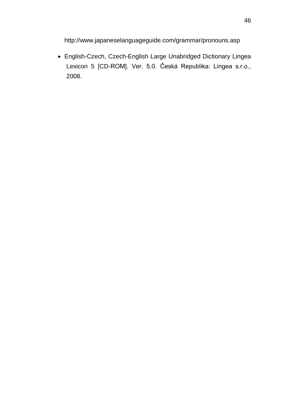<http://www.japaneselanguageguide.com/grammar/pronouns.asp>

 English-Czech, Czech-English Large Unabridged Dictionary Lingea Lexicon 5 [CD-ROM]. Ver. 5.0. Česká Republika: Lingea s.r.o., 2008.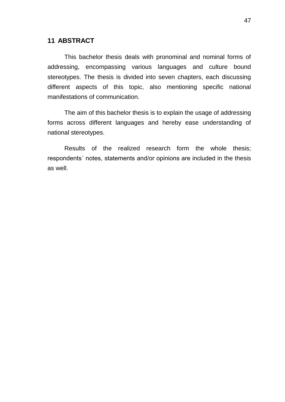# <span id="page-46-0"></span>**11 ABSTRACT**

This bachelor thesis deals with pronominal and nominal forms of addressing, encompassing various languages and culture bound stereotypes. The thesis is divided into seven chapters, each discussing different aspects of this topic, also mentioning specific national manifestations of communication.

The aim of this bachelor thesis is to explain the usage of addressing forms across different languages and hereby ease understanding of national stereotypes.

Results of the realized research form the whole thesis; respondents´ notes, statements and/or opinions are included in the thesis as well.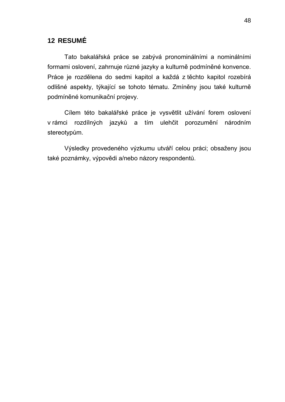# <span id="page-47-0"></span>**12 RESUMÉ**

Tato bakalářská práce se zabývá pronominálními a nominálními formami oslovení, zahrnuje různé jazyky a kulturně podmíněné konvence. Práce je rozdělena do sedmi kapitol a každá z těchto kapitol rozebírá odlišné aspekty, týkající se tohoto tématu. Zmíněny jsou také kulturně podmíněné komunikační projevy.

Cílem této bakalářské práce je vysvětlit užívání forem oslovení v rámci rozdílných jazyků a tím ulehčit porozumění národním stereotypům.

Výsledky provedeného výzkumu utváří celou práci; obsaženy jsou také poznámky, výpovědi a/nebo názory respondentů.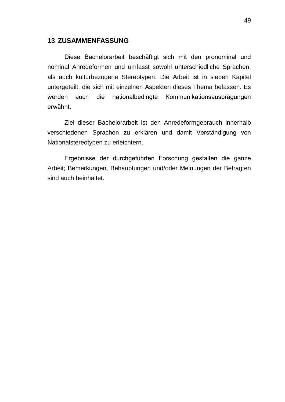#### <span id="page-48-0"></span>**13 ZUSAMMENFASSUNG**

Diese Bachelorarbeit beschäftigt sich mit den pronominal und nominal Anredeformen und umfasst sowohl unterschiedliche Sprachen, als auch kulturbezogene Stereotypen. Die Arbeit ist in sieben Kapitel untergeteilt, die sich mit einzelnen Aspekten dieses Thema befassen. Es werden auch die nationalbedingte Kommunikationsausprägungen erwähnt.

Ziel dieser Bachelorarbeit ist den Anredeformgebrauch innerhalb verschiedenen Sprachen zu erklären und damit Verständigung von Nationalstereotypen zu erleichtern.

Ergebnisse der durchgeführten Forschung gestalten die ganze Arbeit; Bemerkungen, Behauptungen und/oder Meinungen der Befragten sind auch beinhaltet.